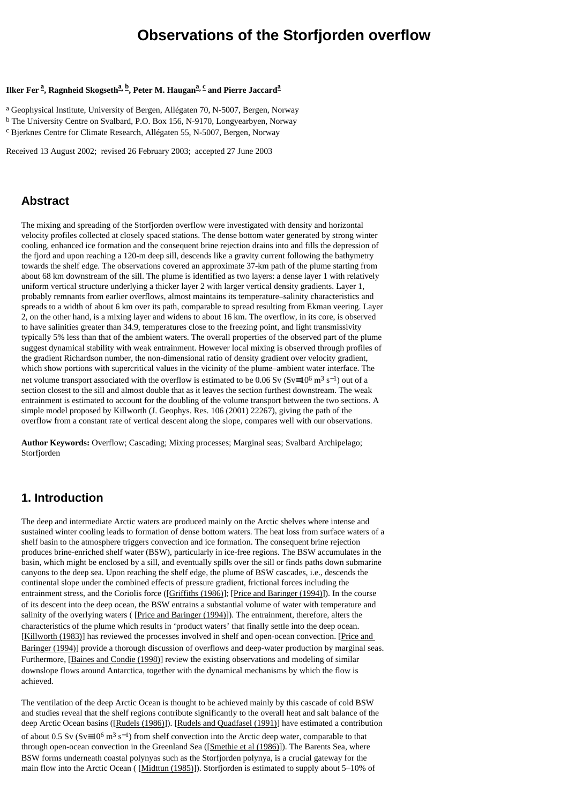# **Observations of the Storfjorden overflow**

#### <span id="page-0-0"></span>**Ilker Fer [a](#page-0-0) , Ragnheid Skogseth[a](#page-0-0), [b](#page-0-0) , Peter M. Hauga[na, c](#page-0-0) and Pierre Jaccard[a](#page-0-0)**

a Geophysical Institute, University of Bergen, Allégaten 70, N-5007, Bergen, Norway b The University Centre on Svalbard, P.O. Box 156, N-9170, Longyearbyen, Norway c Bjerknes Centre for Climate Research, Allégaten 55, N-5007, Bergen, Norway

Received 13 August 2002; revised 26 February 2003; accepted 27 June 2003

#### **Abstract**

The mixing and spreading of the Storfjorden overflow were investigated with density and horizontal velocity profiles collected at closely spaced stations. The dense bottom water generated by strong winter cooling, enhanced ice formation and the consequent brine rejection drains into and fills the depression of the fjord and upon reaching a 120-m deep sill, descends like a gravity current following the bathymetry towards the shelf edge. The observations covered an approximate 37-km path of the plume starting from about 68 km downstream of the sill. The plume is identified as two layers: a dense layer 1 with relatively uniform vertical structure underlying a thicker layer 2 with larger vertical density gradients. Layer 1, probably remnants from earlier overflows, almost maintains its temperature–salinity characteristics and spreads to a width of about 6 km over its path, comparable to spread resulting from Ekman veering. Layer 2, on the other hand, is a mixing layer and widens to about 16 km. The overflow, in its core, is observed to have salinities greater than 34.9, temperatures close to the freezing point, and light transmissivity typically 5% less than that of the ambient waters. The overall properties of the observed part of the plume suggest dynamical stability with weak entrainment. However local mixing is observed through profiles of the gradient Richardson number, the non-dimensional ratio of density gradient over velocity gradient, which show portions with supercritical values in the vicinity of the plume–ambient water interface. The net volume transport associated with the overflow is estimated to be 0.06 Sv (Sv≡106 m3 s−1) out of a section closest to the sill and almost double that as it leaves the section furthest downstream. The weak entrainment is estimated to account for the doubling of the volume transport between the two sections. A simple model proposed by Killworth (J. Geophys. Res. 106 (2001) 22267), giving the path of the overflow from a constant rate of vertical descent along the slope, compares well with our observations.

**Author Keywords:** Overflow; Cascading; Mixing processes; Marginal seas; Svalbard Archipelago; Storfjorden

# **1. Introduction**

The deep and intermediate Arctic waters are produced mainly on the Arctic shelves where intense and sustained winter cooling leads to formation of dense bottom waters. The heat loss from surface waters of a shelf basin to the atmosphere triggers convection and ice formation. The consequent brine rejection produces brine-enriched shelf water (BSW), particularly in ice-free regions. The BSW accumulates in the basin, which might be enclosed by a sill, and eventually spills over the sill or finds paths down submarine canyons to the deep sea. Upon reaching the shelf edge, the plume of BSW cascades, i.e., descends the continental slope under the combined effects of pressure gradient, frictional forces including the entrainment stress, and the Coriolis force ([\[Griffiths \(1986\)](#page-0-0)]; [[Price and Baringer \(1994\)\]](#page-0-0)). In the course of its descent into the deep ocean, the BSW entrains a substantial volume of water with temperature and salinity of the overlying waters ( [[Price and Baringer \(1994\)\]](#page-0-0)). The entrainment, therefore, alters the characteristics of the plume which results in 'product waters' that finally settle into the deep ocean. [\[Killworth \(1983\)](#page-0-0)] has reviewed the processes involved in shelf and open-ocean convection. [\[Price and](#page-0-0)  [Baringer \(1994\)\]](#page-0-0) provide a thorough discussion of overflows and deep-water production by marginal seas. Furthermore, [\[Baines and Condie \(1998\)\]](#page-0-0) review the existing observations and modeling of similar downslope flows around Antarctica, together with the dynamical mechanisms by which the flow is achieved.

The ventilation of the deep Arctic Ocean is thought to be achieved mainly by this cascade of cold BSW and studies reveal that the shelf regions contribute significantly to the overall heat and salt balance of the deep Arctic Ocean basins ([\[Rudels \(1986\)](#page-0-0)]). [[Rudels and Quadfasel \(1991\)](#page-0-0)] have estimated a contribution of about 0.5 Sv (Sv≡106 m3 s−1) from shelf convection into the Arctic deep water, comparable to that through open-ocean convection in the Greenland Sea ([[Smethie et al \(1986\)\]](#page-0-0)). The Barents Sea, where BSW forms underneath coastal polynyas such as the Storfjorden polynya, is a crucial gateway for the main flow into the Arctic Ocean ( [\[Midttun \(1985\)\]](#page-0-0)). Storfjorden is estimated to supply about 5–10% of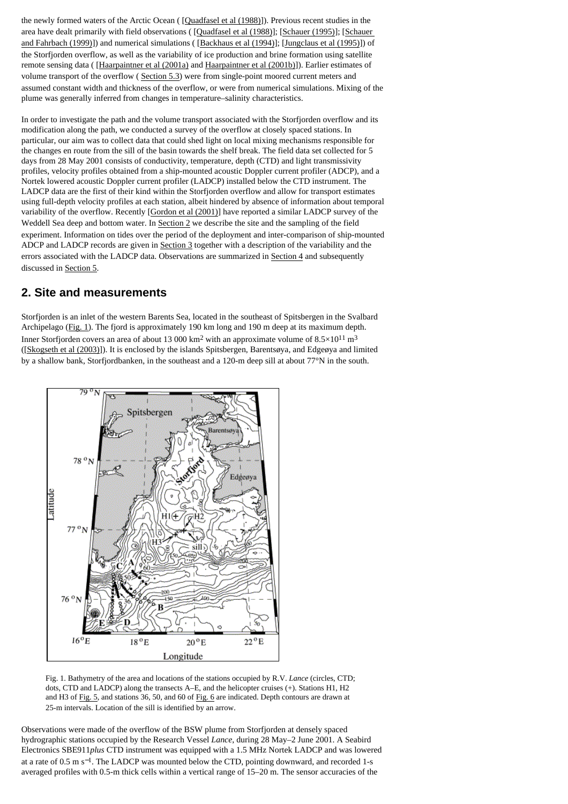the newly formed waters of the Arctic Ocean ( [[Quadfasel et al \(1988\)](#page-0-0)]). Previous recent studies in the area have dealt primarily with field observations ( [[Quadfasel et al \(1988\)](#page-0-0)]; [\[Schauer \(1995\)\]](#page-0-0); [[Schauer](#page-0-0) [and Fahrbach \(1999\)\]](#page-0-0)) and numerical simulations ( [[Backhaus et al \(1994\)\]](#page-0-0); [\[Jungclaus et al \(1995\)\]](#page-0-0)) of the Storfjorden overflow, as well as the variability of ice production and brine formation using satellite remote sensing data ( [[Haarpaintner et al \(2001a\)](#page-0-0) and [Haarpaintner et al \(2001b\)](#page-0-0)]). Earlier estimates of volume transport of the overflow ( [Section 5.3\)](#page-0-0) were from single-point moored current meters and assumed constant width and thickness of the overflow, or were from numerical simulations. Mixing of the plume was generally inferred from changes in temperature–salinity characteristics.

In order to investigate the path and the volume transport associated with the Storfjorden overflow and its modification along the path, we conducted a survey of the overflow at closely spaced stations. In particular, our aim was to collect data that could shed light on local mixing mechanisms responsible for the changes en route from the sill of the basin towards the shelf break. The field data set collected for 5 days from 28 May 2001 consists of conductivity, temperature, depth (CTD) and light transmissivity profiles, velocity profiles obtained from a ship-mounted acoustic Doppler current profiler (ADCP), and a Nortek lowered acoustic Doppler current profiler (LADCP) installed below the CTD instrument. The LADCP data are the first of their kind within the Storfjorden overflow and allow for transport estimates using full-depth velocity profiles at each station, albeit hindered by absence of information about temporal variability of the overflow. Recently [[Gordon et al \(2001\)](#page-0-0)] have reported a similar LADCP survey of the Weddell Sea deep and bottom water. In [Section 2](#page-0-0) we describe the site and the sampling of the field experiment. Information on tides over the period of the deployment and inter-comparison of ship-mounted ADCP and LADCP records are given in [Section 3](#page-0-0) together with a description of the variability and the errors associated with the LADCP data. Observations are summarized in [Section 4](#page-0-0) and subsequently discussed in [Section 5](#page-0-0).

# **2. Site and measurements**

Storfjorden is an inlet of the western Barents Sea, located in the southeast of Spitsbergen in the Svalbard Archipelago ([Fig. 1](#page-0-0)). The fjord is approximately 190 km long and 190 m deep at its maximum depth. Inner Storfjorden covers an area of about 13 000 km<sup>2</sup> with an approximate volume of  $8.5 \times 10^{11}$  m<sup>3</sup> ([\[Skogseth et al \(2003\)](#page-0-0)]). It is enclosed by the islands Spitsbergen, Barentsøya, and Edgeøya and limited by a shallow bank, Storfjordbanken, in the southeast and a 120-m deep sill at about 77°N in the south.



Fig. 1. Bathymetry of the area and locations of the stations occupied by R.V. *Lance* (circles, CTD; dots, CTD and LADCP) along the transects A–E, and the helicopter cruises (+). Stations H1, H2 and H3 of [Fig. 5](#page-0-0), and stations 36, 50, and 60 of [Fig. 6](#page-0-0) are indicated. Depth contours are drawn at 25-m intervals. Location of the sill is identified by an arrow.

Observations were made of the overflow of the BSW plume from Storfjorden at densely spaced hydrographic stations occupied by the Research Vessel *Lance*, during 28 May–2 June 2001. A Seabird Electronics SBE911*plus* CTD instrument was equipped with a 1.5 MHz Nortek LADCP and was lowered at a rate of 0.5 m s−1. The LADCP was mounted below the CTD, pointing downward, and recorded 1-s averaged profiles with 0.5-m thick cells within a vertical range of 15–20 m. The sensor accuracies of the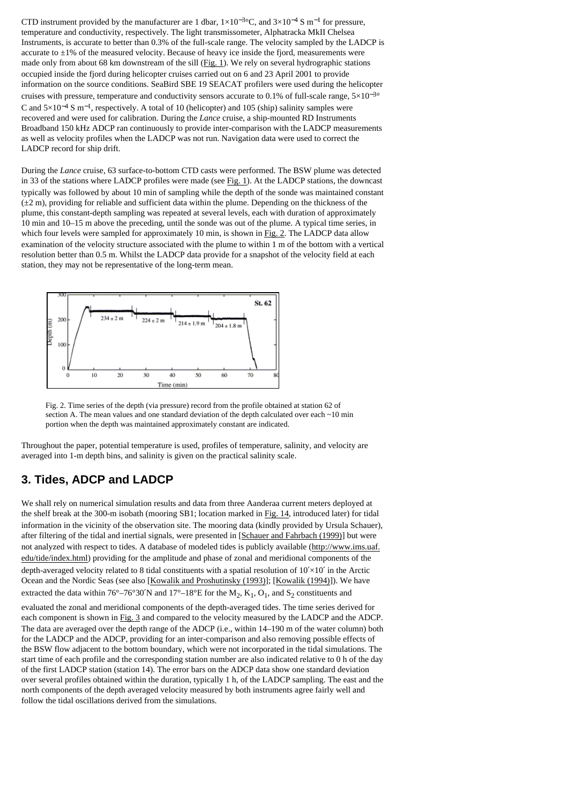CTD instrument provided by the manufacturer are 1 dbar,  $1 \times 10^{-3}$ °C, and  $3 \times 10^{-4}$  S m<sup>-1</sup> for pressure, temperature and conductivity, respectively. The light transmissometer, Alphatracka MkII Chelsea Instruments, is accurate to better than 0.3% of the full-scale range. The velocity sampled by the LADCP is accurate to  $\pm 1\%$  of the measured velocity. Because of heavy ice inside the fjord, measurements were made only from about 68 km downstream of the sill [\(Fig. 1](#page-0-0)). We rely on several hydrographic stations occupied inside the fjord during helicopter cruises carried out on 6 and 23 April 2001 to provide information on the source conditions. SeaBird SBE 19 SEACAT profilers were used during the helicopter cruises with pressure, temperature and conductivity sensors accurate to 0.1% of full-scale range,  $5\times10^{-3\circ}$ C and  $5\times10^{-4}$  S m<sup>-1</sup>, respectively. A total of 10 (helicopter) and 105 (ship) salinity samples were recovered and were used for calibration. During the *Lance* cruise, a ship-mounted RD Instruments Broadband 150 kHz ADCP ran continuously to provide inter-comparison with the LADCP measurements as well as velocity profiles when the LADCP was not run. Navigation data were used to correct the LADCP record for ship drift.

During the *Lance* cruise, 63 surface-to-bottom CTD casts were performed. The BSW plume was detected in 33 of the stations where LADCP profiles were made (see [Fig. 1\)](#page-0-0). At the LADCP stations, the downcast typically was followed by about 10 min of sampling while the depth of the sonde was maintained constant (±2 m), providing for reliable and sufficient data within the plume. Depending on the thickness of the plume, this constant-depth sampling was repeated at several levels, each with duration of approximately 10 min and 10–15 m above the preceding, until the sonde was out of the plume. A typical time series, in which four levels were sampled for approximately 10 min, is shown in [Fig. 2.](#page-0-0) The LADCP data allow examination of the velocity structure associated with the plume to within 1 m of the bottom with a vertical resolution better than 0.5 m. Whilst the LADCP data provide for a snapshot of the velocity field at each station, they may not be representative of the long-term mean.



Fig. 2. Time series of the depth (via pressure) record from the profile obtained at station 62 of section A. The mean values and one standard deviation of the depth calculated over each ~10 min portion when the depth was maintained approximately constant are indicated.

Throughout the paper, potential temperature is used, profiles of temperature, salinity, and velocity are averaged into 1-m depth bins, and salinity is given on the practical salinity scale.

# **3. Tides, ADCP and LADCP**

We shall rely on numerical simulation results and data from three Aanderaa current meters deployed at the shelf break at the 300-m isobath (mooring SB1; location marked in [Fig. 14,](#page-0-0) introduced later) for tidal information in the vicinity of the observation site. The mooring data (kindly provided by Ursula Schauer), after filtering of the tidal and inertial signals, were presented in [[Schauer and Fahrbach \(1999\)](#page-0-0)] but were not analyzed with respect to tides. A database of modeled tides is publicly available ([http://www.ims.uaf.](http://www.sciencedirect.com/science?_ob=RedirectURL&_method=externObjLink&_locator=url&_cdi=6034&_plusSign=%2B&_targetURL=http%253A%252F%252Fwww.ims.uaf.edu%252Ftide%252Findex.html) [edu/tide/index.html](http://www.sciencedirect.com/science?_ob=RedirectURL&_method=externObjLink&_locator=url&_cdi=6034&_plusSign=%2B&_targetURL=http%253A%252F%252Fwww.ims.uaf.edu%252Ftide%252Findex.html)) providing for the amplitude and phase of zonal and meridional components of the depth-averaged velocity related to 8 tidal constituents with a spatial resolution of  $10 \times 10'$  in the Arctic Ocean and the Nordic Seas (see also [\[Kowalik and Proshutinsky \(1993\)](#page-0-0)]; [[Kowalik \(1994\)\]](#page-0-0)). We have extracted the data within 76°–76°30′N and 17°–18°E for the M<sub>2</sub>, K<sub>1</sub>, O<sub>1</sub>, and S<sub>2</sub> constituents and

evaluated the zonal and meridional components of the depth-averaged tides. The time series derived for each component is shown in [Fig. 3](#page-0-0) and compared to the velocity measured by the LADCP and the ADCP. The data are averaged over the depth range of the ADCP (i.e., within 14–190 m of the water column) both for the LADCP and the ADCP, providing for an inter-comparison and also removing possible effects of the BSW flow adjacent to the bottom boundary, which were not incorporated in the tidal simulations. The start time of each profile and the corresponding station number are also indicated relative to 0 h of the day of the first LADCP station (station 14). The error bars on the ADCP data show one standard deviation over several profiles obtained within the duration, typically 1 h, of the LADCP sampling. The east and the north components of the depth averaged velocity measured by both instruments agree fairly well and follow the tidal oscillations derived from the simulations.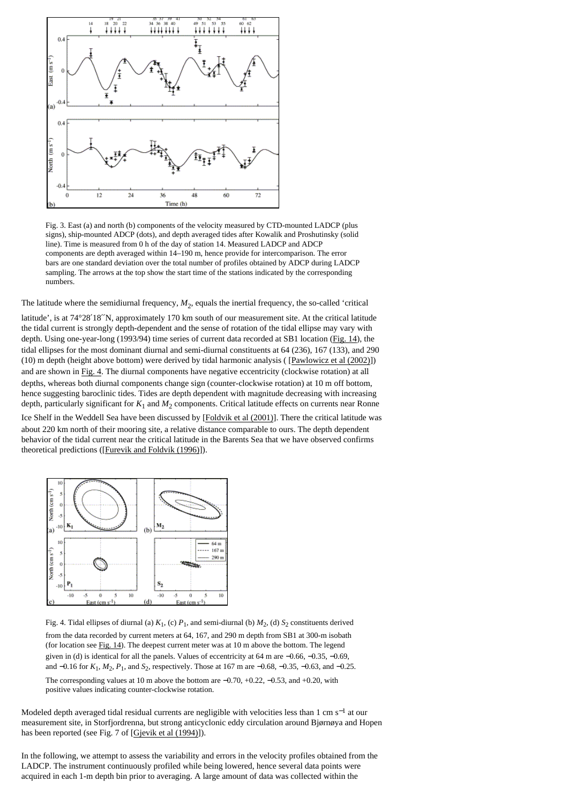

Fig. 3. East (a) and north (b) components of the velocity measured by CTD-mounted LADCP (plus signs), ship-mounted ADCP (dots), and depth averaged tides after Kowalik and Proshutinsky (solid line). Time is measured from 0 h of the day of station 14. Measured LADCP and ADCP components are depth averaged within 14–190 m, hence provide for intercomparison. The error bars are one standard deviation over the total number of profiles obtained by ADCP during LADCP sampling. The arrows at the top show the start time of the stations indicated by the corresponding numbers.

The latitude where the semidiurnal frequency, *M*2, equals the inertial frequency, the so-called 'critical

latitude', is at 74°28′18′′N, approximately 170 km south of our measurement site. At the critical latitude the tidal current is strongly depth-dependent and the sense of rotation of the tidal ellipse may vary with depth. Using one-year-long (1993/94) time series of current data recorded at SB1 location ([Fig. 14\)](#page-0-0), the tidal ellipses for the most dominant diurnal and semi-diurnal constituents at 64 (236), 167 (133), and 290 (10) m depth (height above bottom) were derived by tidal harmonic analysis ( [\[Pawlowicz et al \(2002\)\]](#page-0-0)) and are shown in [Fig. 4](#page-0-0). The diurnal components have negative eccentricity (clockwise rotation) at all depths, whereas both diurnal components change sign (counter-clockwise rotation) at 10 m off bottom, hence suggesting baroclinic tides. Tides are depth dependent with magnitude decreasing with increasing depth, particularly significant for  $K_1$  and  $M_2$  components. Critical latitude effects on currents near Ronne

Ice Shelf in the Weddell Sea have been discussed by [\[Foldvik et al \(2001\)](#page-0-0)]. There the critical latitude was about 220 km north of their mooring site, a relative distance comparable to ours. The depth dependent behavior of the tidal current near the critical latitude in the Barents Sea that we have observed confirms theoretical predictions ([\[Furevik and Foldvik \(1996\)](#page-0-0)]).



Fig. 4. Tidal ellipses of diurnal (a)  $K_1$ , (c)  $P_1$ , and semi-diurnal (b)  $M_2$ , (d)  $S_2$  constituents derived from the data recorded by current meters at 64, 167, and 290 m depth from SB1 at 300-m isobath (for location see [Fig. 14\)](#page-0-0). The deepest current meter was at 10 m above the bottom. The legend given in (d) is identical for all the panels. Values of eccentricity at 64 m are −0.66, −0.35, −0.69, and −0.16 for *K*<sub>1</sub>, *M*<sub>2</sub>, *P*<sub>1</sub>, and *S*<sub>2</sub>, respectively. Those at 167 m are −0.68, −0.35, −0.63, and −0.25. The corresponding values at 10 m above the bottom are −0.70, +0.22, −0.53, and +0.20, with positive values indicating counter-clockwise rotation.

Modeled depth averaged tidal residual currents are negligible with velocities less than 1 cm s−1 at our measurement site, in Storfjordrenna, but strong anticyclonic eddy circulation around Bjørnøya and Hopen has been reported (see Fig. 7 of [[Gjevik et al \(1994\)\]](#page-0-0)).

In the following, we attempt to assess the variability and errors in the velocity profiles obtained from the LADCP. The instrument continuously profiled while being lowered, hence several data points were acquired in each 1-m depth bin prior to averaging. A large amount of data was collected within the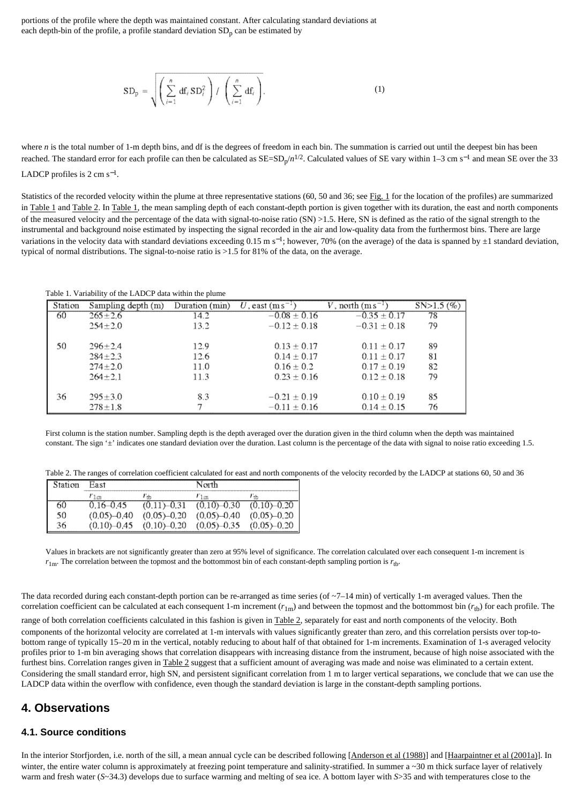$$
SD_{p} = \sqrt{\left(\sum_{i=1}^{n} df_{i} SD_{i}^{2}\right) / \left(\sum_{i=1}^{n} df_{i}\right)}.
$$
 (1)

where *n* is the total number of 1-m depth bins, and df is the degrees of freedom in each bin. The summation is carried out until the deepest bin has been reached. The standard error for each profile can then be calculated as SE=SD<sub>p</sub>/n<sup>1/2</sup>. Calculated values of SE vary within 1–3 cm s<sup>-1</sup> and mean SE over the 33 LADCP profiles is  $2 \text{ cm s}^{-1}$ .

Statistics of the recorded velocity within the plume at three representative stations (60, 50 and 36; see [Fig. 1](#page-0-0) for the location of the profiles) are summarized in [Table 1](#page-0-0) and [Table 2.](#page-0-0) In [Table 1](#page-0-0), the mean sampling depth of each constant-depth portion is given together with its duration, the east and north components of the measured velocity and the percentage of the data with signal-to-noise ratio  $(SN) > 1.5$ . Here, SN is defined as the ratio of the signal strength to the instrumental and background noise estimated by inspecting the signal recorded in the air and low-quality data from the furthermost bins. There are large variations in the velocity data with standard deviations exceeding 0.15 m s−1; however, 70% (on the average) of the data is spanned by ±1 standard deviation, typical of normal distributions. The signal-to-noise ratio is >1.5 for 81% of the data, on the average.

Table 1. Variability of the LADCP data within the plume

| Station | Sampling depth (m) | Duration (min) | U, east $(ms^{-1})$ | , north $(m s^{-1})$ | SN>1.5(%) |
|---------|--------------------|----------------|---------------------|----------------------|-----------|
| 60      | $265 + 2.6$        | 14.2           | $-0.08 + 0.16$      | $-0.35 \pm 0.17$     | 78        |
|         | $254 + 2.0$        | 13.2           | $-0.12 \pm 0.18$    | $-0.31 \pm 0.18$     | 79        |
| 50      | $296 + 2.4$        | 12.9           | $0.13 \pm 0.17$     | $0.11 \pm 0.17$      | 89        |
|         | $284 + 2.3$        | 12.6           | $0.14 \pm 0.17$     | $0.11 \pm 0.17$      | 81        |
|         | $274 + 2.0$        | 11.0           | $0.16 \pm 0.2$      | $0.17 \pm 0.19$      | 82        |
|         | $264 + 2.1$        | 11.3           | $0.23 \pm 0.16$     | $0.12 \pm 0.18$      | 79        |
| 36      | $295 + 3.0$        | 8.3            | $-0.21 \pm 0.19$    | $0.10 \pm 0.19$      | 85        |
|         | $278 + 1.8$        |                | $-0.11 \pm 0.16$    | $0.14 \pm 0.15$      | 76        |

First column is the station number. Sampling depth is the depth averaged over the duration given in the third column when the depth was maintained constant. The sign '±' indicates one standard deviation over the duration. Last column is the percentage of the data with signal to noise ratio exceeding 1.5.

Table 2. The ranges of correlation coefficient calculated for east and north components of the velocity recorded by the LADCP at stations 60, 50 and 36

| Station | East            |                 | North           |                 |  |
|---------|-----------------|-----------------|-----------------|-----------------|--|
|         | $r_{1m}$        | $r_{\rm th}$    | $r_{\rm 1m}$    | Ëъ              |  |
| 60      | $0.16 - 0.45$   | $(0.11) - 0.31$ | $(0.10) - 0.30$ | $(0,10)$ -0.20  |  |
| 50      | $(0.05) - 0.40$ | $(0,05) - 0,20$ | $(0,05) - 0,40$ | $(0.05) - 0.20$ |  |
| 36      | $(0.10) - 0.45$ | $(0,10)$ -0,20  | $(0.05) - 0.35$ | $(0.05) - 0.20$ |  |

Values in brackets are not significantly greater than zero at 95% level of significance. The correlation calculated over each consequent 1-m increment is  $r_{1m}$ . The correlation between the topmost and the bottommost bin of each constant-depth sampling portion is  $r_{1b}$ .

The data recorded during each constant-depth portion can be re-arranged as time series (of  $\sim$ 7–14 min) of vertically 1-m averaged values. Then the correlation coefficient can be calculated at each consequent 1-m increment  $(r_{1m})$  and between the topmost and the bottommost bin  $(r_{tb})$  for each profile. The

range of both correlation coefficients calculated in this fashion is given in [Table 2,](#page-0-0) separately for east and north components of the velocity. Both components of the horizontal velocity are correlated at 1-m intervals with values significantly greater than zero, and this correlation persists over top-tobottom range of typically 15–20 m in the vertical, notably reducing to about half of that obtained for 1-m increments. Examination of 1-s averaged velocity profiles prior to 1-m bin averaging shows that correlation disappears with increasing distance from the instrument, because of high noise associated with the furthest bins. Correlation ranges given in [Table 2](#page-0-0) suggest that a sufficient amount of averaging was made and noise was eliminated to a certain extent. Considering the small standard error, high SN, and persistent significant correlation from 1 m to larger vertical separations, we conclude that we can use the LADCP data within the overflow with confidence, even though the standard deviation is large in the constant-depth sampling portions.

### **4. Observations**

### **4.1. Source conditions**

In the interior Storfjorden, i.e. north of the sill, a mean annual cycle can be described following [[Anderson et al \(1988\)\]](#page-0-0) and [\[Haarpaintner et al \(2001a\)](#page-0-0)]. In winter, the entire water column is approximately at freezing point temperature and salinity-stratified. In summer a ~30 m thick surface layer of relatively warm and fresh water (*S*~34.3) develops due to surface warming and melting of sea ice. A bottom layer with *S*>35 and with temperatures close to the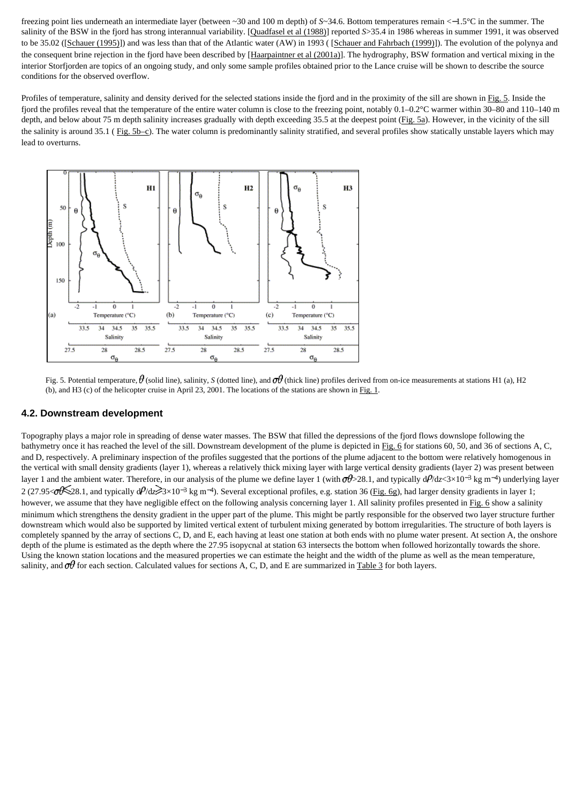freezing point lies underneath an intermediate layer (between ~30 and 100 m depth) of *S*~34.6. Bottom temperatures remain <−1.5°C in the summer. The salinity of the BSW in the fjord has strong interannual variability. [\[Quadfasel et al \(1988\)\]](#page-0-0) reported *S*>35.4 in 1986 whereas in summer 1991, it was observed to be 35.02 ([\[Schauer \(1995\)](#page-0-0)]) and was less than that of the Atlantic water (AW) in 1993 ( [[Schauer and Fahrbach \(1999\)](#page-0-0)]). The evolution of the polynya and the consequent brine rejection in the fjord have been described by [[Haarpaintner et al \(2001a\)\]](#page-0-0). The hydrography, BSW formation and vertical mixing in the interior Storfjorden are topics of an ongoing study, and only some sample profiles obtained prior to the Lance cruise will be shown to describe the source conditions for the observed overflow.

Profiles of temperature, salinity and density derived for the selected stations inside the fjord and in the proximity of the sill are shown in [Fig. 5.](#page-0-0) Inside the fjord the profiles reveal that the temperature of the entire water column is close to the freezing point, notably 0.1–0.2°C warmer within 30–80 and 110–140 m depth, and below about 75 m depth salinity increases gradually with depth exceeding 35.5 at the deepest point ([Fig. 5a](#page-0-0)). However, in the vicinity of the sill the salinity is around 35.1 ( [Fig. 5b–c\)](#page-0-0). The water column is predominantly salinity stratified, and several profiles show statically unstable layers which may lead to overturns.



Fig. 5. Potential temperature,  $\theta$  (solid line), salinity, *S* (dotted line), and  $\sigma\theta$  (thick line) profiles derived from on-ice measurements at stations H1 (a), H2 (b), and H3 (c) of the helicopter cruise in April 23, 2001. The locations of the stations are shown in [Fig. 1.](#page-0-0)

#### **4.2. Downstream development**

Topography plays a major role in spreading of dense water masses. The BSW that filled the depressions of the fjord flows downslope following the bathymetry once it has reached the level of the sill. Downstream development of the plume is depicted in [Fig. 6](#page-0-0) for stations 60, 50, and 36 of sections A, C, and D, respectively. A preliminary inspection of the profiles suggested that the portions of the plume adjacent to the bottom were relatively homogenous in the vertical with small density gradients (layer 1), whereas a relatively thick mixing layer with large vertical density gradients (layer 2) was present between layer 1 and the ambient water. Therefore, in our analysis of the plume we define layer 1 (with  $\sigma\theta$ >28.1, and typically d $\rho$ /dz<3×10<sup>-3</sup> kg m<sup>-4</sup>) underlying layer 2 (27.95<**of ≤**28.1, and typically d $\theta$ /d $\geq$ 3×10<sup>-3</sup> kg m<sup>-4</sup>). Several exceptional profiles, e.g. station 36 ([Fig. 6g\)](#page-0-0), had larger density gradients in layer 1; however, we assume that they have negligible effect on the following analysis concerning layer 1. All salinity profiles presented in [Fig. 6](#page-0-0) show a salinity minimum which strengthens the density gradient in the upper part of the plume. This might be partly responsible for the observed two layer structure further downstream which would also be supported by limited vertical extent of turbulent mixing generated by bottom irregularities. The structure of both layers is completely spanned by the array of sections C, D, and E, each having at least one station at both ends with no plume water present. At section A, the onshore depth of the plume is estimated as the depth where the 27.95 isopycnal at station 63 intersects the bottom when followed horizontally towards the shore. Using the known station locations and the measured properties we can estimate the height and the width of the plume as well as the mean temperature, salinity, and  $\sigma\theta$  for each section. Calculated values for sections A, C, D, and E are summarized in [Table 3](#page-0-0) for both layers.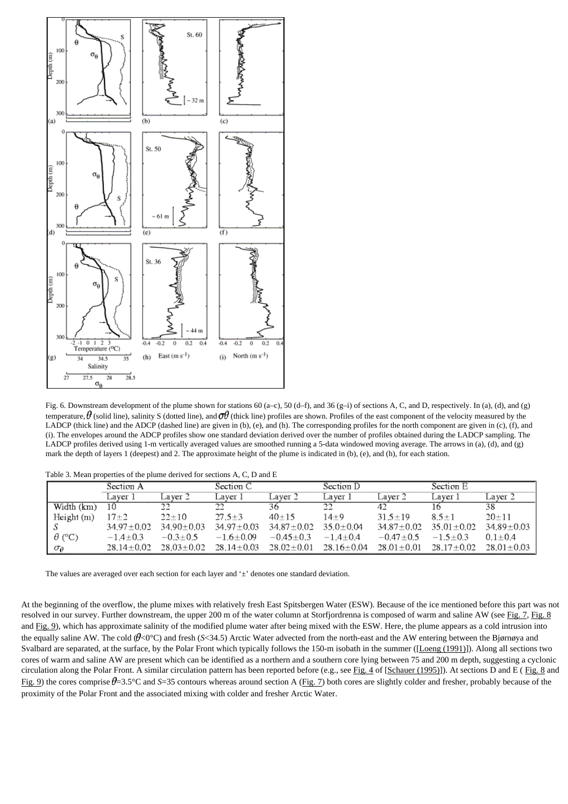

Fig. 6. Downstream development of the plume shown for stations 60 (a–c), 50 (d–f), and 36 (g–i) of sections A, C, and D, respectively. In (a), (d), and (g) temperature,  $\theta$  (solid line), salinity S (dotted line), and  $\sigma\theta$  (thick line) profiles are shown. Profiles of the east component of the velocity measured by the LADCP (thick line) and the ADCP (dashed line) are given in (b), (e), and (h). The corresponding profiles for the north component are given in (c), (f), and (i). The envelopes around the ADCP profiles show one standard deviation derived over the number of profiles obtained during the LADCP sampling. The LADCP profiles derived using 1-m vertically averaged values are smoothed running a 5-data windowed moving average. The arrows in (a), (d), and (g) mark the depth of layers 1 (deepest) and 2. The approximate height of the plume is indicated in (b), (e), and (h), for each station.

Table 3. Mean properties of the plume derived for sections A, C, D and E

|               | Section A        |                    | Section C        |                  | Section D     |                | Section E        |                  |
|---------------|------------------|--------------------|------------------|------------------|---------------|----------------|------------------|------------------|
|               | Laver 1          | Laver <sub>2</sub> | Laver 1          | Laver 2          | Laver 1       | Laver 2        | Laver 1          | Laver 2          |
| Width (km)    | 10               | 22                 | 22               | 36               | 22            | 42             | 16               | 38               |
| Height(m)     | $17 + 2$         | $22+10$            | $27.5 + 3$       | $40 + 15$        | $14 + 9$      | $31.5 + 19$    | $8.5 + 1$        | $20 + 11$        |
|               | $34.97 \pm 0.02$ | $34.90 + 0.03$     | $34.97 + 0.03$   | $34.87 + 0.02$   | $35.0 + 0.04$ | $34.87 + 0.02$ | $35.01 + 0.02$   | $34.89 \pm 0.03$ |
| $\theta$ (°C) | $-1.4 + 0.3$     | $-0.3 + 0.5$       | $-1.6+0.09$      | $-0.45+0.3$      | $-1.4 + 0.4$  | $-0.47 + 0.5$  | $-1.5+0.3$       | $0.1 + 0.4$      |
| $\sigma$ a    | $28.14 \pm 0.02$ | $28.03 \pm 0.02$   | $28.14 \pm 0.03$ | $28.02 \pm 0.01$ | 28.16±0.04    | $28.01 + 0.01$ | $28.17 \pm 0.02$ | $28.01 \pm 0.03$ |

The values are averaged over each section for each layer and '±' denotes one standard deviation.

At the beginning of the overflow, the plume mixes with relatively fresh East Spitsbergen Water (ESW). Because of the ice mentioned before this part was not resolved in our survey. Further downstream, the upper 200 m of the water column at Storfjordrenna is composed of warm and saline AW (see [Fig. 7, Fig. 8](#page-0-0) and [Fig. 9](#page-0-0)), which has approximate salinity of the modified plume water after being mixed with the ESW. Here, the plume appears as a cold intrusion into the equally saline AW. The cold  $(\theta < 0^\circ \text{C})$  and fresh (*S*<34.5) Arctic Water advected from the north-east and the AW entering between the Bjørnøya and Svalbard are separated, at the surface, by the Polar Front which typically follows the 150-m isobath in the summer ([\[Loeng \(1991\)\]](#page-0-0)). Along all sections two cores of warm and saline AW are present which can be identified as a northern and a southern core lying between 75 and 200 m depth, suggesting a cyclonic circulation along the Polar Front. A similar circulation pattern has been reported before (e.g., see [Fig. 4](#page-0-0) of [[Schauer \(1995\)\]](#page-0-0)). At sections D and E ([Fig. 8](#page-0-0) and [Fig. 9](#page-0-0)) the cores comprise  $\theta$ =3.5°C and *S*=35 contours whereas around section A [\(Fig. 7](#page-0-0)) both cores are slightly colder and fresher, probably because of the proximity of the Polar Front and the associated mixing with colder and fresher Arctic Water.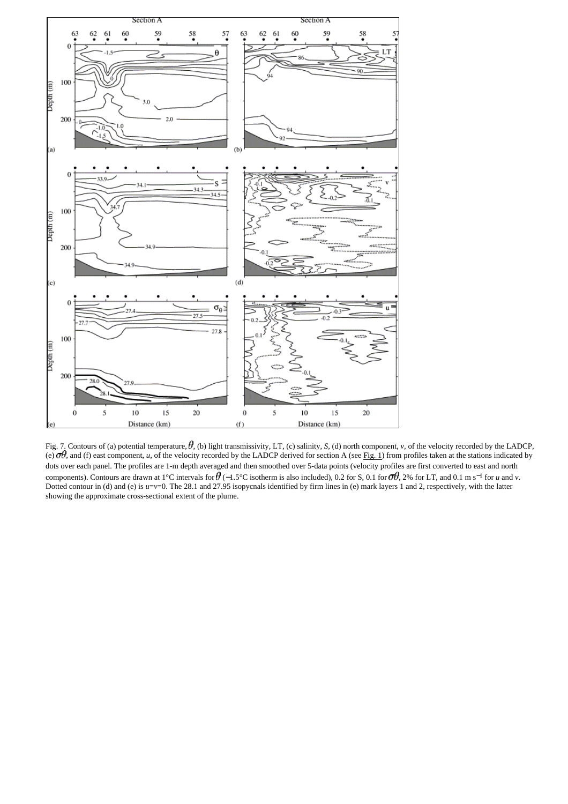

Fig. 7. Contours of (a) potential temperature,  $\boldsymbol{\theta}$ , (b) light transmissivity, LT, (c) salinity, *S*, (d) north component, *v*, of the velocity recorded by the LADCP, (e)  $\sigma t$ , and (f) east component, *u*, of the velocity recorded by the LADCP derived for section A (see [Fig. 1\)](#page-0-0) from profiles taken at the stations indicated by dots over each panel. The profiles are 1-m depth averaged and then smoothed over 5-data points (velocity profiles are first converted to east and north components). Contours are drawn at 1°C intervals for  $\vec{\theta}$  (−1.5°C isotherm is also included), 0.2 for S, 0.1 for  $\sigma\theta$ , 2% for LT, and 0.1 m s<sup>-1</sup> for *u* and *v*. Dotted contour in (d) and (e) is  $u=v=0$ . The 28.1 and 27.95 isopycnals identified by firm lines in (e) mark layers 1 and 2, respectively, with the latter showing the approximate cross-sectional extent of the plume.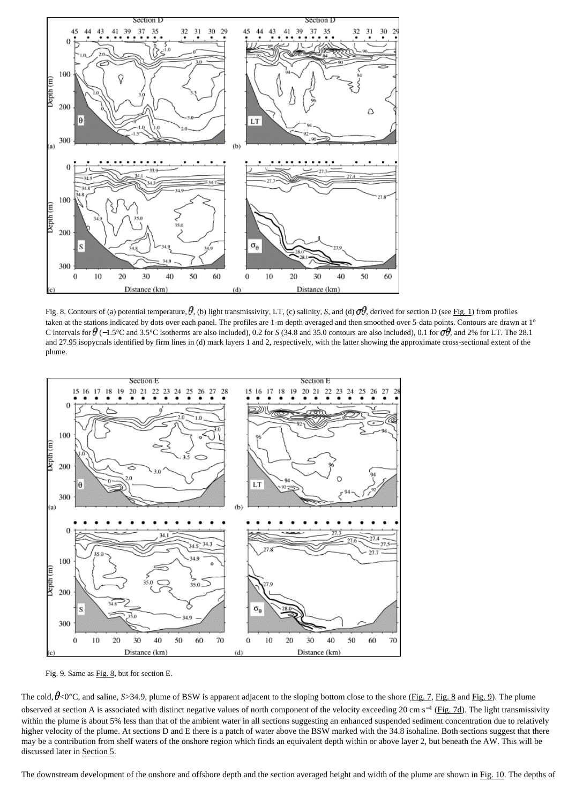

Fig. 8. Contours of (a) potential temperature,  $\theta$ , (b) light transmissivity, LT, (c) salinity, *S*, and (d)  $\sigma\theta$ , derived for section D (see [Fig. 1](#page-0-0)) from profiles taken at the stations indicated by dots over each panel. The profiles are 1-m depth averaged and then smoothed over 5-data points. Contours are drawn at 1° C intervals for  $\theta$  (−1.5°C and 3.5°C isotherms are also included), 0.2 for *S* (34.8 and 35.0 contours are also included), 0.1 for  $\sigma\theta$ , and 2% for LT. The 28.1 and 27.95 isopycnals identified by firm lines in (d) mark layers 1 and 2, respectively, with the latter showing the approximate cross-sectional extent of the plume.





The cold,  $\theta$ <0°C, and saline, *S*>34.9, plume of BSW is apparent adjacent to the sloping bottom close to the shore ([Fig. 7, Fig. 8](#page-0-0) and [Fig. 9](#page-0-0)). The plume observed at section A is associated with distinct negative values of north component of the velocity exceeding 20 cm s−1 [\(Fig. 7d\)](#page-0-0). The light transmissivity within the plume is about 5% less than that of the ambient water in all sections suggesting an enhanced suspended sediment concentration due to relatively higher velocity of the plume. At sections D and E there is a patch of water above the BSW marked with the 34.8 isohaline. Both sections suggest that there may be a contribution from shelf waters of the onshore region which finds an equivalent depth within or above layer 2, but beneath the AW. This will be discussed later in [Section 5.](#page-0-0)

The downstream development of the onshore and offshore depth and the section averaged height and width of the plume are shown in [Fig. 10](#page-0-0). The depths of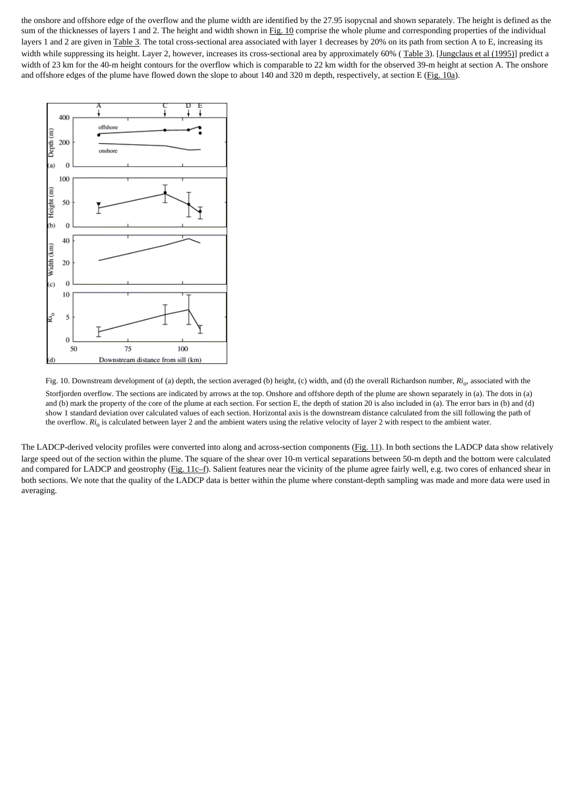the onshore and offshore edge of the overflow and the plume width are identified by the 27.95 isopycnal and shown separately. The height is defined as the sum of the thicknesses of layers 1 and 2. The height and width shown in [Fig. 10](#page-0-0) comprise the whole plume and corresponding properties of the individual layers 1 and 2 are given in [Table 3.](#page-0-0) The total cross-sectional area associated with layer 1 decreases by 20% on its path from section A to E, increasing its width while suppressing its height. Layer 2, however, increases its cross-sectional area by approximately 60% ([Table 3\)](#page-0-0). [\[Jungclaus et al \(1995\)\]](#page-0-0) predict a width of 23 km for the 40-m height contours for the overflow which is comparable to 22 km width for the observed 39-m height at section A. The onshore and offshore edges of the plume have flowed down the slope to about 140 and 320 m depth, respectively, at section E [\(Fig. 10a\)](#page-0-0).



Fig. 10. Downstream development of (a) depth, the section averaged (b) height, (c) width, and (d) the overall Richardson number,  $R_i$ <sub>o</sub>, associated with the Storfjorden overflow. The sections are indicated by arrows at the top. Onshore and offshore depth of the plume are shown separately in (a). The dots in (a) and (b) mark the property of the core of the plume at each section. For section E, the depth of station 20 is also included in (a). The error bars in (b) and (d) show 1 standard deviation over calculated values of each section. Horizontal axis is the downstream distance calculated from the sill following the path of the overflow. *Ri*o is calculated between layer 2 and the ambient waters using the relative velocity of layer 2 with respect to the ambient water.

The LADCP-derived velocity profiles were converted into along and across-section components ([Fig. 11\)](#page-0-0). In both sections the LADCP data show relatively large speed out of the section within the plume. The square of the shear over 10-m vertical separations between 50-m depth and the bottom were calculated and compared for LADCP and geostrophy [\(Fig. 11c–f\)](#page-0-0). Salient features near the vicinity of the plume agree fairly well, e.g. two cores of enhanced shear in both sections. We note that the quality of the LADCP data is better within the plume where constant-depth sampling was made and more data were used in averaging.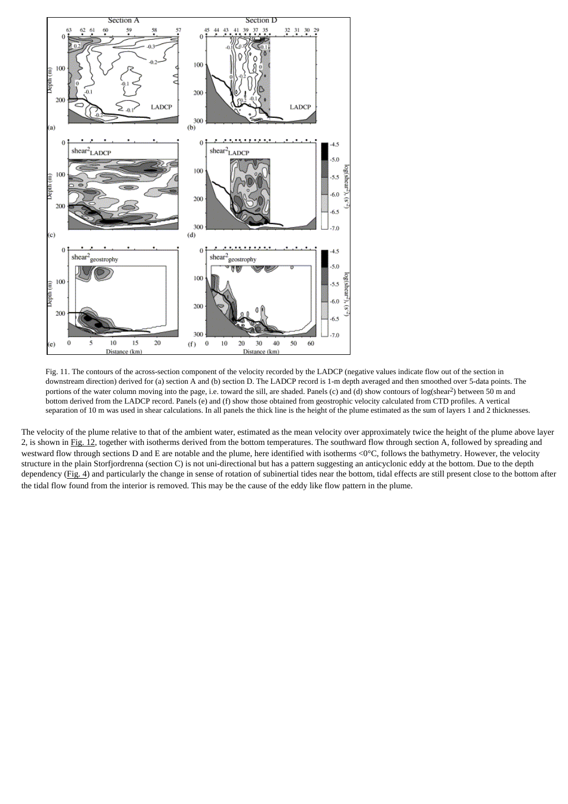

Fig. 11. The contours of the across-section component of the velocity recorded by the LADCP (negative values indicate flow out of the section in downstream direction) derived for (a) section A and (b) section D. The LADCP record is 1-m depth averaged and then smoothed over 5-data points. The portions of the water column moving into the page, i.e. toward the sill, are shaded. Panels (c) and (d) show contours of log(shear<sup>2</sup>) between 50 m and bottom derived from the LADCP record. Panels (e) and (f) show those obtained from geostrophic velocity calculated from CTD profiles. A vertical separation of 10 m was used in shear calculations. In all panels the thick line is the height of the plume estimated as the sum of layers 1 and 2 thicknesses.

The velocity of the plume relative to that of the ambient water, estimated as the mean velocity over approximately twice the height of the plume above layer 2, is shown in [Fig. 12](#page-0-0), together with isotherms derived from the bottom temperatures. The southward flow through section A, followed by spreading and westward flow through sections D and E are notable and the plume, here identified with isotherms <0°C, follows the bathymetry. However, the velocity structure in the plain Storfjordrenna (section C) is not uni-directional but has a pattern suggesting an anticyclonic eddy at the bottom. Due to the depth dependency [\(Fig. 4](#page-0-0)) and particularly the change in sense of rotation of subinertial tides near the bottom, tidal effects are still present close to the bottom after the tidal flow found from the interior is removed. This may be the cause of the eddy like flow pattern in the plume.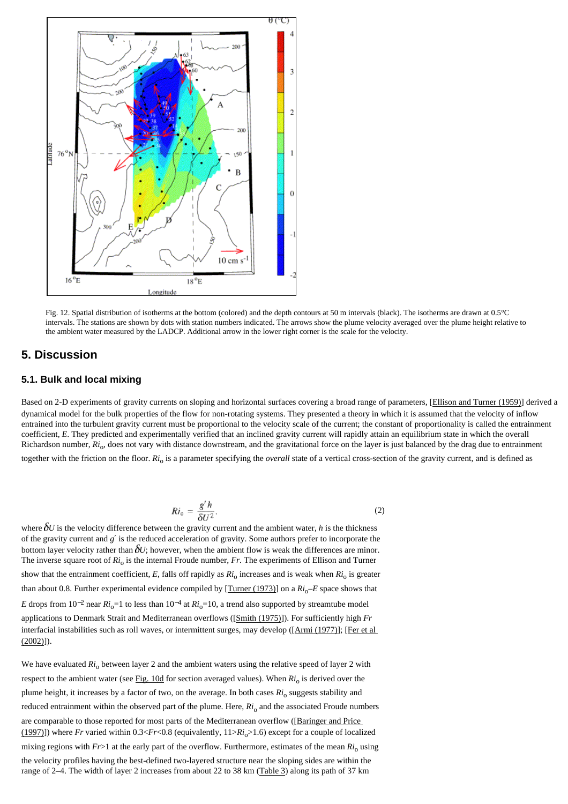

Fig. 12. Spatial distribution of isotherms at the bottom (colored) and the depth contours at 50 m intervals (black). The isotherms are drawn at 0.5°C intervals. The stations are shown by dots with station numbers indicated. The arrows show the plume velocity averaged over the plume height relative to the ambient water measured by the LADCP. Additional arrow in the lower right corner is the scale for the velocity.

### **5. Discussion**

#### **5.1. Bulk and local mixing**

Based on 2-D experiments of gravity currents on sloping and horizontal surfaces covering a broad range of parameters, [[Ellison and Turner \(1959\)\]](#page-0-0) derived a dynamical model for the bulk properties of the flow for non-rotating systems. They presented a theory in which it is assumed that the velocity of inflow entrained into the turbulent gravity current must be proportional to the velocity scale of the current; the constant of proportionality is called the entrainment coefficient, *E*. They predicted and experimentally verified that an inclined gravity current will rapidly attain an equilibrium state in which the overall Richardson number,  $Ri_0$ , does not vary with distance downstream, and the gravitational force on the layer is just balanced by the drag due to entrainment together with the friction on the floor. *Ri*o is a parameter specifying the *overall* state of a vertical cross-section of the gravity current, and is defined as

$$
Ri_0 = \frac{g'h}{\delta U^2}.
$$
 (2)

where  $\delta U$  is the velocity difference between the gravity current and the ambient water, *h* is the thickness of the gravity current and *g*′ is the reduced acceleration of gravity. Some authors prefer to incorporate the bottom layer velocity rather than  $\delta U$ ; however, when the ambient flow is weak the differences are minor. The inverse square root of  $R_i$  is the internal Froude number, *Fr*. The experiments of Ellison and Turner show that the entrainment coefficient,  $E$ , falls off rapidly as  $Ri_0$  increases and is weak when  $Ri_0$  is greater than about 0.8. Further experimental evidence compiled by [[Turner \(1973\)\]](#page-0-0) on a *Ri*o–*E* space shows that *E* drops from  $10^{-2}$  near  $Ri_0=1$  to less than  $10^{-4}$  at  $Ri_0=10$ , a trend also supported by streamtube model applications to Denmark Strait and Mediterranean overflows ([\[Smith \(1975\)\]](#page-0-0)). For sufficiently high *Fr* interfacial instabilities such as roll waves, or intermittent surges, may develop ([[Armi \(1977\)\]](#page-0-0); [Fer et al  $(2002)$ ]).

We have evaluated  $R_i$ <sub>o</sub> between layer 2 and the ambient waters using the relative speed of layer 2 with respect to the ambient water (see [Fig. 10d](#page-0-0) for section averaged values). When  $Ri_0$  is derived over the plume height, it increases by a factor of two, on the average. In both cases *Ri*o suggests stability and reduced entrainment within the observed part of the plume. Here,  $R_i$ <sub>o</sub> and the associated Froude numbers are comparable to those reported for most parts of the Mediterranean overflow ([[Baringer and Price](#page-0-0)  [\(1997\)](#page-0-0)]) where *Fr* varied within 0.3<*Fr*<0.8 (equivalently, 11>*Ri*o>1.6) except for a couple of localized mixing regions with  $Fr$ >1 at the early part of the overflow. Furthermore, estimates of the mean  $R_i$ <sub>o</sub> using the velocity profiles having the best-defined two-layered structure near the sloping sides are within the range of 2–4. The width of layer 2 increases from about 22 to 38 km ([Table 3\)](#page-0-0) along its path of 37 km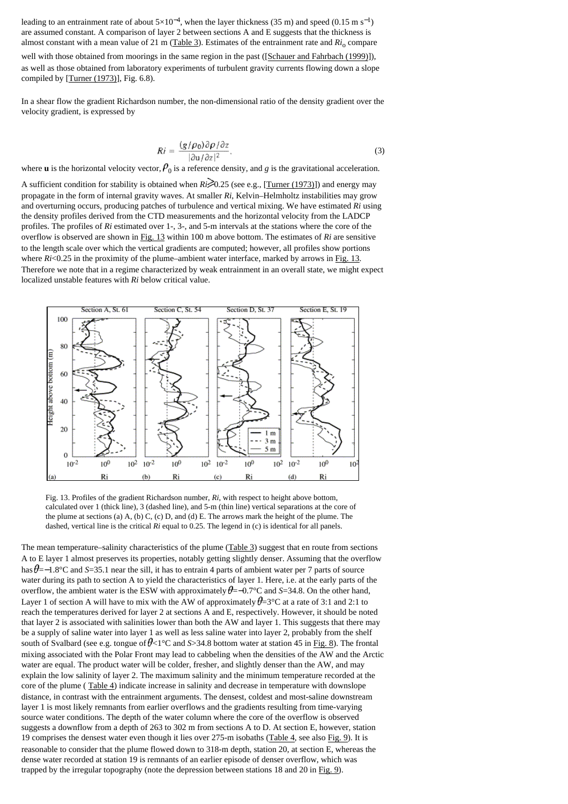leading to an entrainment rate of about 5×10−4, when the layer thickness (35 m) and speed (0.15 m s−1) are assumed constant. A comparison of layer 2 between sections A and E suggests that the thickness is almost constant with a mean value of 21 m ([Table 3\)](#page-0-0). Estimates of the entrainment rate and  $R_i$ <sub>o</sub> compare

well with those obtained from moorings in the same region in the past ([\[Schauer and Fahrbach \(1999\)\]](#page-0-0)), as well as those obtained from laboratory experiments of turbulent gravity currents flowing down a slope compiled by [[Turner \(1973\)](#page-0-0)], Fig. 6.8).

In a shear flow the gradient Richardson number, the non-dimensional ratio of the density gradient over the velocity gradient, is expressed by

$$
Ri = \frac{(g/\rho_0)\partial \rho/\partial z}{|\partial u/\partial z|^2}.
$$
 (3)

where **u** is the horizontal velocity vector,  $\mathbf{P}_0$  is a reference density, and *g* is the gravitational acceleration.

A sufficient condition for stability is obtained when *Ri* 20.25 (see e.g., [\[Turner \(1973\)](#page-0-0)]) and energy may propagate in the form of internal gravity waves. At smaller *Ri*, Kelvin–Helmholtz instabilities may grow and overturning occurs, producing patches of turbulence and vertical mixing. We have estimated *Ri* using the density profiles derived from the CTD measurements and the horizontal velocity from the LADCP profiles. The profiles of *Ri* estimated over 1-, 3-, and 5-m intervals at the stations where the core of the overflow is observed are shown in [Fig. 13](#page-0-0) within 100 m above bottom. The estimates of *Ri* are sensitive to the length scale over which the vertical gradients are computed; however, all profiles show portions where  $Ri<0.25$  in the proximity of the plume–ambient water interface, marked by arrows in [Fig. 13](#page-0-0). Therefore we note that in a regime characterized by weak entrainment in an overall state, we might expect localized unstable features with *Ri* below critical value.



Fig. 13. Profiles of the gradient Richardson number, *Ri*, with respect to height above bottom, calculated over 1 (thick line), 3 (dashed line), and 5-m (thin line) vertical separations at the core of the plume at sections (a) A, (b) C, (c) D, and (d) E. The arrows mark the height of the plume. The dashed, vertical line is the critical *Ri* equal to 0.25. The legend in (c) is identical for all panels.

The mean temperature–salinity characteristics of the plume [\(Table 3](#page-0-0)) suggest that en route from sections A to E layer 1 almost preserves its properties, notably getting slightly denser. Assuming that the overflow has  $\theta$ =−1.8°C and *S*=35.1 near the sill, it has to entrain 4 parts of ambient water per 7 parts of source water during its path to section A to yield the characteristics of layer 1. Here, i.e. at the early parts of the overflow, the ambient water is the ESW with approximately  $\theta$ =−0.7°C and *S*=34.8. On the other hand, Layer 1 of section A will have to mix with the AW of approximately  $\theta = 3^{\circ}$ C at a rate of 3:1 and 2:1 to reach the temperatures derived for layer 2 at sections A and E, respectively. However, it should be noted that layer 2 is associated with salinities lower than both the AW and layer 1. This suggests that there may be a supply of saline water into layer 1 as well as less saline water into layer 2, probably from the shelf south of Svalbard (see e.g. tongue of  $\theta < 1^\circ$ C and *S*>34.8 bottom water at station 45 in [Fig. 8](#page-0-0)). The frontal mixing associated with the Polar Front may lead to cabbeling when the densities of the AW and the Arctic water are equal. The product water will be colder, fresher, and slightly denser than the AW, and may explain the low salinity of layer 2. The maximum salinity and the minimum temperature recorded at the core of the plume ( [Table 4\)](#page-0-0) indicate increase in salinity and decrease in temperature with downslope distance, in contrast with the entrainment arguments. The densest, coldest and most-saline downstream layer 1 is most likely remnants from earlier overflows and the gradients resulting from time-varying source water conditions. The depth of the water column where the core of the overflow is observed suggests a downflow from a depth of 263 to 302 m from sections A to D. At section E, however, station 19 comprises the densest water even though it lies over 275-m isobaths ([Table 4,](#page-0-0) see also [Fig. 9](#page-0-0)). It is reasonable to consider that the plume flowed down to 318-m depth, station 20, at section E, whereas the dense water recorded at station 19 is remnants of an earlier episode of denser overflow, which was trapped by the irregular topography (note the depression between stations 18 and 20 in [Fig. 9\)](#page-0-0).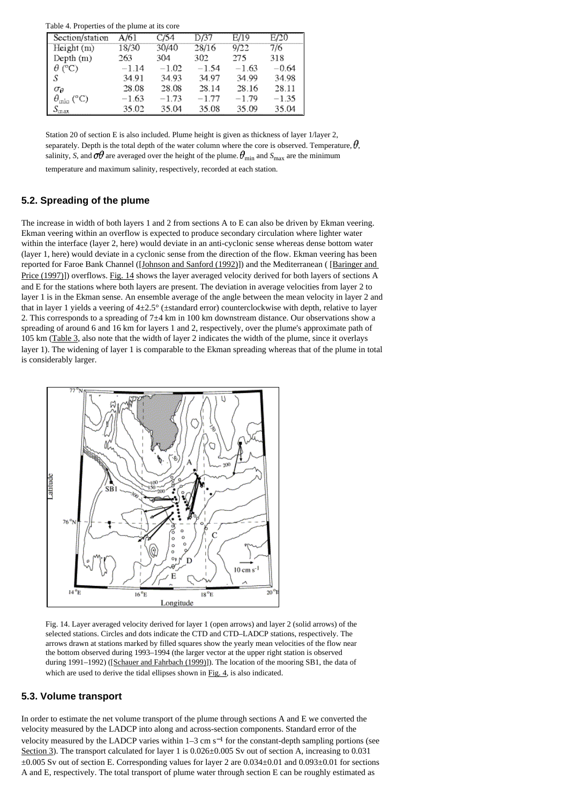Table 4. Properties of the plume at its core

| Section/station           | A/61    | C/54    | D/37    | E/19    | E/20    |
|---------------------------|---------|---------|---------|---------|---------|
| Height (m)                | 18/30   | 30/40   | 28/16   | 9/22    | 7/6     |
| Depth (m)                 | 263     | 304     | 302     | 275     | 318     |
| $\theta$ (°C)             | $-1.14$ | $-1.02$ | $-1.54$ | $-1.63$ | $-0.64$ |
| S                         | 34.91   | 34.93   | 34.97   | 34.99   | 34.98   |
| σą                        | 28.08   | 28.08   | 28.14   | 28.16   | 28.11   |
| $\theta_{\min}$ (°C)      | $-1.63$ | $-1.73$ | $-1.77$ | $-1.79$ | $-1.35$ |
| $\mathbf{a}_{\text{max}}$ | 35.02   | 35.04   | 35.08   | 35.09   | 35.04   |

Station 20 of section E is also included. Plume height is given as thickness of layer 1/layer 2, separately. Depth is the total depth of the water column where the core is observed. Temperature,  $\theta$ , salinity, *S*, and  $\sigma\theta$  are averaged over the height of the plume.  $\theta_{\min}$  and  $S_{\max}$  are the minimum temperature and maximum salinity, respectively, recorded at each station.

#### **5.2. Spreading of the plume**

The increase in width of both layers 1 and 2 from sections A to E can also be driven by Ekman veering. Ekman veering within an overflow is expected to produce secondary circulation where lighter water within the interface (layer 2, here) would deviate in an anti-cyclonic sense whereas dense bottom water (layer 1, here) would deviate in a cyclonic sense from the direction of the flow. Ekman veering has been reported for Faroe Bank Channel ([[Johnson and Sanford \(1992\)](#page-0-0)]) and the Mediterranean ( [\[Baringer and](#page-0-0)  [Price \(1997\)\]](#page-0-0)) overflows. [Fig. 14](#page-0-0) shows the layer averaged velocity derived for both layers of sections A and E for the stations where both layers are present. The deviation in average velocities from layer 2 to layer 1 is in the Ekman sense. An ensemble average of the angle between the mean velocity in layer 2 and that in layer 1 yields a veering of  $4\pm2.5^{\circ}$  ( $\pm$ standard error) counterclockwise with depth, relative to layer 2. This corresponds to a spreading of  $7\pm4$  km in 100 km downstream distance. Our observations show a spreading of around 6 and 16 km for layers 1 and 2, respectively, over the plume's approximate path of 105 km ([Table 3,](#page-0-0) also note that the width of layer 2 indicates the width of the plume, since it overlays layer 1). The widening of layer 1 is comparable to the Ekman spreading whereas that of the plume in total is considerably larger.



Fig. 14. Layer averaged velocity derived for layer 1 (open arrows) and layer 2 (solid arrows) of the selected stations. Circles and dots indicate the CTD and CTD–LADCP stations, respectively. The arrows drawn at stations marked by filled squares show the yearly mean velocities of the flow near the bottom observed during 1993–1994 (the larger vector at the upper right station is observed during 1991-1992) ([[Schauer and Fahrbach \(1999\)](#page-0-0)]). The location of the mooring SB1, the data of which are used to derive the tidal ellipses shown in [Fig. 4](#page-0-0), is also indicated.

#### **5.3. Volume transport**

In order to estimate the net volume transport of the plume through sections A and E we converted the velocity measured by the LADCP into along and across-section components. Standard error of the velocity measured by the LADCP varies within  $1-3$  cm s<sup>-1</sup> for the constant-depth sampling portions (see [Section 3\)](#page-0-0). The transport calculated for layer 1 is  $0.026 \pm 0.005$  Sv out of section A, increasing to 0.031  $\pm 0.005$  Sv out of section E. Corresponding values for layer 2 are  $0.034\pm 0.01$  and  $0.093\pm 0.01$  for sections A and E, respectively. The total transport of plume water through section E can be roughly estimated as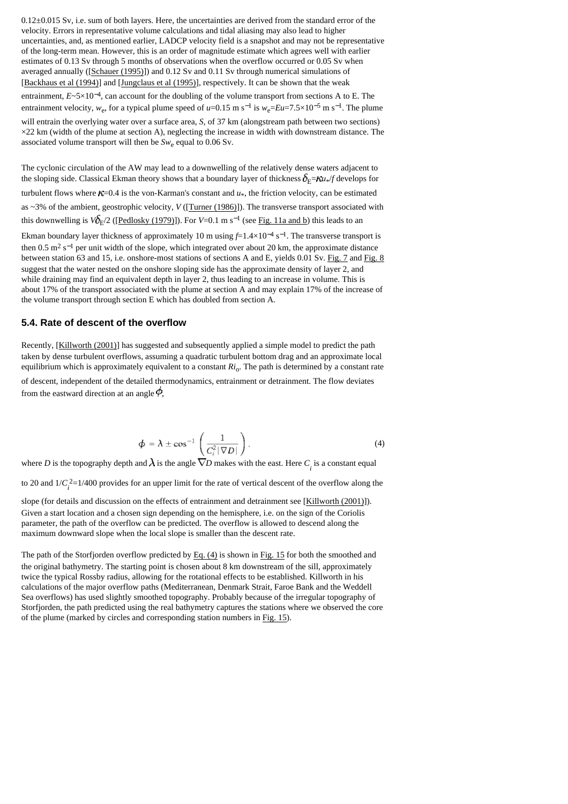0.12±0.015 Sv, i.e. sum of both layers. Here, the uncertainties are derived from the standard error of the velocity. Errors in representative volume calculations and tidal aliasing may also lead to higher uncertainties, and, as mentioned earlier, LADCP velocity field is a snapshot and may not be representative of the long-term mean. However, this is an order of magnitude estimate which agrees well with earlier estimates of 0.13 Sv through 5 months of observations when the overflow occurred or 0.05 Sv when averaged annually ([[Schauer \(1995\)](#page-0-0)]) and 0.12 Sv and 0.11 Sv through numerical simulations of [\[Backhaus et al \(1994\)](#page-0-0)] and [[Jungclaus et al \(1995\)](#page-0-0)], respectively. It can be shown that the weak entrainment, *E*~5×10−4, can account for the doubling of the volume transport from sections A to E. The entrainment velocity,  $w_e$ , for a typical plume speed of  $u=0.15$  m s<sup>-1</sup> is  $w_e=E^2u=7.5\times10^{-5}$  m s<sup>-1</sup>. The plume

will entrain the overlying water over a surface area, *S*, of 37 km (alongstream path between two sections)  $\times$ 22 km (width of the plume at section A), neglecting the increase in width with downstream distance. The associated volume transport will then be  $Sw_e$  equal to 0.06 Sv.

The cyclonic circulation of the AW may lead to a downwelling of the relatively dense waters adjacent to the sloping side. Classical Ekman theory shows that a boundary layer of thickness  $\dot{\mathbf{O}}_F = \kappa u*}/f$  develops for turbulent flows where  $\kappa$ =0.4 is the von-Karman's constant and  $u_*$ , the friction velocity, can be estimated as ~3% of the ambient, geostrophic velocity, *V* ([[Turner \(1986\)](#page-0-0)]). The transverse transport associated with this downwelling is  $V\bar{b}_F/2$  ([[Pedlosky \(1979\)\]](#page-0-0)). For *V*=0.1 m s<sup>-1</sup> (see [Fig. 11a and b\)](#page-0-0) this leads to an

Ekman boundary layer thickness of approximately 10 m using *f*=1.4×10−4 s−1. The transverse transport is then 0.5 m2 s−1 per unit width of the slope, which integrated over about 20 km, the approximate distance between station 63 and 15, i.e. onshore-most stations of sections A and E, yields 0.01 Sv. [Fig. 7](#page-0-0) and [Fig. 8](#page-0-0) suggest that the water nested on the onshore sloping side has the approximate density of layer 2, and while draining may find an equivalent depth in layer 2, thus leading to an increase in volume. This is about 17% of the transport associated with the plume at section A and may explain 17% of the increase of the volume transport through section E which has doubled from section A.

#### **5.4. Rate of descent of the overflow**

Recently, [\[Killworth \(2001\)](#page-0-0)] has suggested and subsequently applied a simple model to predict the path taken by dense turbulent overflows, assuming a quadratic turbulent bottom drag and an approximate local equilibrium which is approximately equivalent to a constant *Ri*o. The path is determined by a constant rate

of descent, independent of the detailed thermodynamics, entrainment or detrainment. The flow deviates from the eastward direction at an angle  $\phi$ .

$$
\phi = \lambda \pm \cos^{-1} \left( \frac{1}{C_i^2 |\nabla D|} \right). \tag{4}
$$

where *D* is the topography depth and  $\lambda$  is the angle  $\nabla D$  makes with the east. Here  $C_i$  is a constant equal

to 20 and  $1/C<sub>i</sub><sup>2</sup>=1/400$  provides for an upper limit for the rate of vertical descent of the overflow along the

slope (for details and discussion on the effects of entrainment and detrainment see [[Killworth \(2001\)](#page-0-0)]). Given a start location and a chosen sign depending on the hemisphere, i.e. on the sign of the Coriolis parameter, the path of the overflow can be predicted. The overflow is allowed to descend along the maximum downward slope when the local slope is smaller than the descent rate.

The path of the Storfjorden overflow predicted by [Eq. \(4\)](#page-0-0) is shown in [Fig. 15](#page-0-0) for both the smoothed and the original bathymetry. The starting point is chosen about 8 km downstream of the sill, approximately twice the typical Rossby radius, allowing for the rotational effects to be established. Killworth in his calculations of the major overflow paths (Mediterranean, Denmark Strait, Faroe Bank and the Weddell Sea overflows) has used slightly smoothed topography. Probably because of the irregular topography of Storfjorden, the path predicted using the real bathymetry captures the stations where we observed the core of the plume (marked by circles and corresponding station numbers in [Fig. 15](#page-0-0)).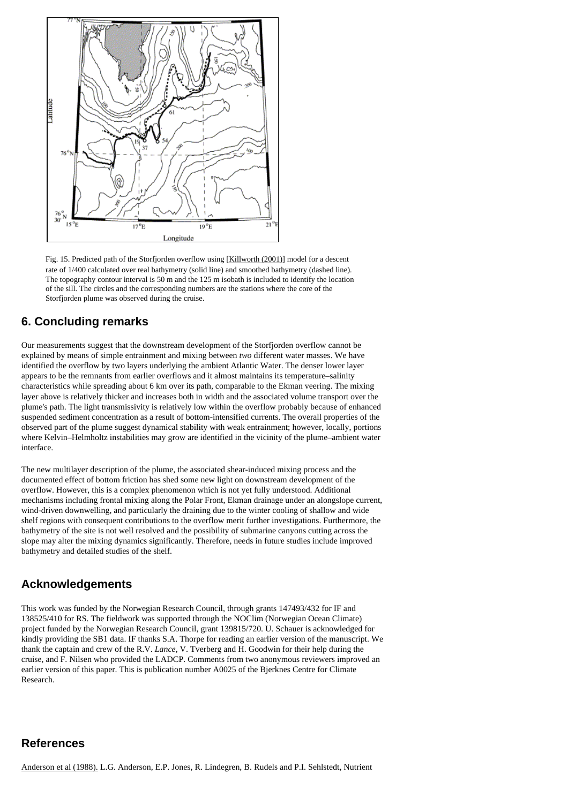

Fig. 15. Predicted path of the Storfjorden overflow using [[Killworth \(2001\)\]](#page-0-0) model for a descent rate of 1/400 calculated over real bathymetry (solid line) and smoothed bathymetry (dashed line). The topography contour interval is 50 m and the 125 m isobath is included to identify the location of the sill. The circles and the corresponding numbers are the stations where the core of the Storfjorden plume was observed during the cruise.

# **6. Concluding remarks**

Our measurements suggest that the downstream development of the Storfjorden overflow cannot be explained by means of simple entrainment and mixing between *two* different water masses. We have identified the overflow by two layers underlying the ambient Atlantic Water. The denser lower layer appears to be the remnants from earlier overflows and it almost maintains its temperature–salinity characteristics while spreading about 6 km over its path, comparable to the Ekman veering. The mixing layer above is relatively thicker and increases both in width and the associated volume transport over the plume's path. The light transmissivity is relatively low within the overflow probably because of enhanced suspended sediment concentration as a result of bottom-intensified currents. The overall properties of the observed part of the plume suggest dynamical stability with weak entrainment; however, locally, portions where Kelvin–Helmholtz instabilities may grow are identified in the vicinity of the plume–ambient water interface.

The new multilayer description of the plume, the associated shear-induced mixing process and the documented effect of bottom friction has shed some new light on downstream development of the overflow. However, this is a complex phenomenon which is not yet fully understood. Additional mechanisms including frontal mixing along the Polar Front, Ekman drainage under an alongslope current, wind-driven downwelling, and particularly the draining due to the winter cooling of shallow and wide shelf regions with consequent contributions to the overflow merit further investigations. Furthermore, the bathymetry of the site is not well resolved and the possibility of submarine canyons cutting across the slope may alter the mixing dynamics significantly. Therefore, needs in future studies include improved bathymetry and detailed studies of the shelf.

# **Acknowledgements**

This work was funded by the Norwegian Research Council, through grants 147493/432 for IF and 138525/410 for RS. The fieldwork was supported through the NOClim (Norwegian Ocean Climate) project funded by the Norwegian Research Council, grant 139815/720. U. Schauer is acknowledged for kindly providing the SB1 data. IF thanks S.A. Thorpe for reading an earlier version of the manuscript. We thank the captain and crew of the R.V. *Lance*, V. Tverberg and H. Goodwin for their help during the cruise, and F. Nilsen who provided the LADCP. Comments from two anonymous reviewers improved an earlier version of this paper. This is publication number A0025 of the Bjerknes Centre for Climate Research.

### **References**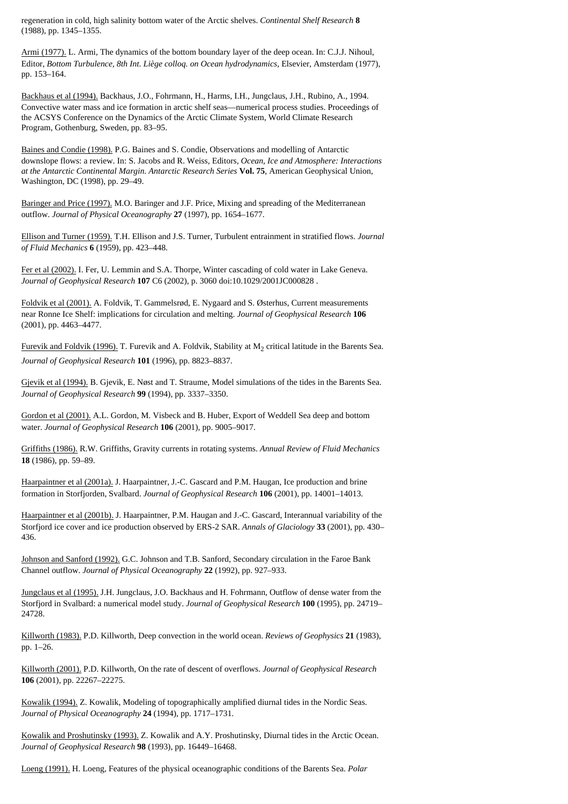regeneration in cold, high salinity bottom water of the Arctic shelves. *Continental Shelf Research* **8** (1988), pp. 1345–1355.

[Armi \(1977\).](#page-0-0) L. Armi, The dynamics of the bottom boundary layer of the deep ocean. In: C.J.J. Nihoul, Editor, *Bottom Turbulence, 8th Int. Liège colloq. on Ocean hydrodynamics*, Elsevier, Amsterdam (1977), pp. 153–164.

[Backhaus et al \(1994\).](#page-0-0) Backhaus, J.O., Fohrmann, H., Harms, I.H., Jungclaus, J.H., Rubino, A., 1994. Convective water mass and ice formation in arctic shelf seas—numerical process studies. Proceedings of the ACSYS Conference on the Dynamics of the Arctic Climate System, World Climate Research Program, Gothenburg, Sweden, pp. 83–95.

[Baines and Condie \(1998\).](#page-0-0) P.G. Baines and S. Condie, Observations and modelling of Antarctic downslope flows: a review. In: S. Jacobs and R. Weiss, Editors, *Ocean, Ice and Atmosphere: Interactions at the Antarctic Continental Margin. Antarctic Research Series* **Vol. 75**, American Geophysical Union, Washington, DC (1998), pp. 29–49.

[Baringer and Price \(1997\).](#page-0-0) M.O. Baringer and J.F. Price, Mixing and spreading of the Mediterranean outflow. *Journal of Physical Oceanography* **27** (1997), pp. 1654–1677.

[Ellison and Turner \(1959\).](#page-0-0) T.H. Ellison and J.S. Turner, Turbulent entrainment in stratified flows. *Journal of Fluid Mechanics* **6** (1959), pp. 423–448.

[Fer et al \(2002\).](#page-0-0) I. Fer, U. Lemmin and S.A. Thorpe, Winter cascading of cold water in Lake Geneva. *Journal of Geophysical Research* **107** C6 (2002), p. 3060 doi:10.1029/2001JC000828 .

[Foldvik et al \(2001\).](#page-0-0) A. Foldvik, T. Gammelsrød, E. Nygaard and S. Østerhus, Current measurements near Ronne Ice Shelf: implications for circulation and melting. *Journal of Geophysical Research* **106** (2001), pp. 4463–4477.

[Furevik and Foldvik \(1996\).](#page-0-0) T. Furevik and A. Foldvik, Stability at  $M_2$  critical latitude in the Barents Sea. *Journal of Geophysical Research* **101** (1996), pp. 8823–8837.

[Gjevik et al \(1994\).](#page-0-0) B. Gjevik, E. Nøst and T. Straume, Model simulations of the tides in the Barents Sea. *Journal of Geophysical Research* **99** (1994), pp. 3337–3350.

[Gordon et al \(2001\).](#page-0-0) A.L. Gordon, M. Visbeck and B. Huber, Export of Weddell Sea deep and bottom water. *Journal of Geophysical Research* **106** (2001), pp. 9005–9017.

[Griffiths \(1986\).](#page-0-0) R.W. Griffiths, Gravity currents in rotating systems. *Annual Review of Fluid Mechanics* **18** (1986), pp. 59–89.

[Haarpaintner et al \(2001a\).](#page-0-0) J. Haarpaintner, J.-C. Gascard and P.M. Haugan, Ice production and brine formation in Storfjorden, Svalbard. *Journal of Geophysical Research* **106** (2001), pp. 14001–14013.

[Haarpaintner et al \(2001b\).](#page-0-0) J. Haarpaintner, P.M. Haugan and J.-C. Gascard, Interannual variability of the Storfjord ice cover and ice production observed by ERS-2 SAR. *Annals of Glaciology* **33** (2001), pp. 430– 436.

[Johnson and Sanford \(1992\).](#page-0-0) G.C. Johnson and T.B. Sanford, Secondary circulation in the Faroe Bank Channel outflow. *Journal of Physical Oceanography* **22** (1992), pp. 927–933.

[Jungclaus et al \(1995\).](#page-0-0) J.H. Jungclaus, J.O. Backhaus and H. Fohrmann, Outflow of dense water from the Storfjord in Svalbard: a numerical model study. *Journal of Geophysical Research* **100** (1995), pp. 24719– 24728.

[Killworth \(1983\).](#page-0-0) P.D. Killworth, Deep convection in the world ocean. *Reviews of Geophysics* **21** (1983), pp. 1–26.

[Killworth \(2001\).](#page-0-0) P.D. Killworth, On the rate of descent of overflows. *Journal of Geophysical Research* **106** (2001), pp. 22267–22275.

[Kowalik \(1994\).](#page-0-0) Z. Kowalik, Modeling of topographically amplified diurnal tides in the Nordic Seas. *Journal of Physical Oceanography* **24** (1994), pp. 1717–1731.

[Kowalik and Proshutinsky \(1993\).](#page-0-0) Z. Kowalik and A.Y. Proshutinsky, Diurnal tides in the Arctic Ocean. *Journal of Geophysical Research* **98** (1993), pp. 16449–16468.

[Loeng \(1991\).](#page-0-0) H. Loeng, Features of the physical oceanographic conditions of the Barents Sea. *Polar*